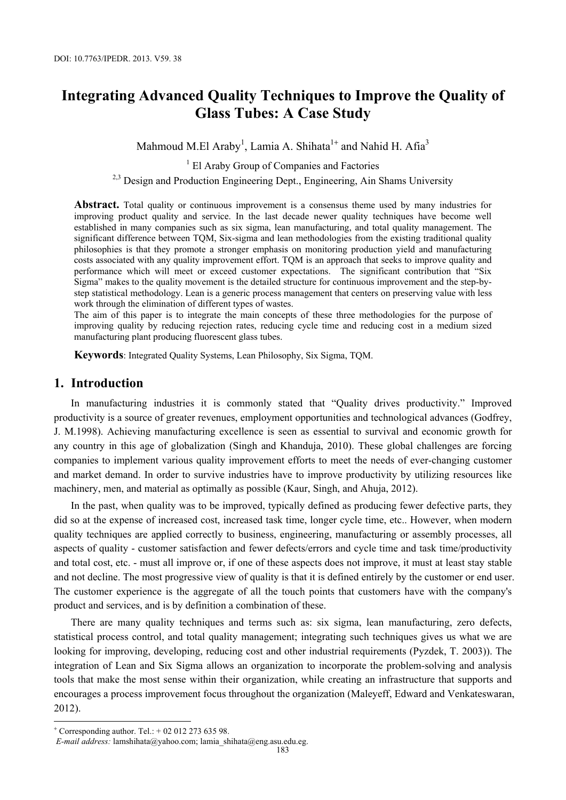# **Integrating Advanced Quality Techniques to Improve the Quality of Glass Tubes: A Case Study**

Mahmoud M.El Araby<sup>1</sup>, Lamia A. Shihata<sup>1+</sup> and Nahid H. Afia<sup>3</sup>

<sup>1</sup> El Araby Group of Companies and Factories

 $2,3$  Design and Production Engineering Dept., Engineering, Ain Shams University

**Abstract.** Total quality or continuous improvement is a consensus theme used by many industries for improving product quality and service. In the last decade newer quality techniques have become well established in many companies such as six sigma, lean manufacturing, and total quality management. The significant difference between TQM, Six-sigma and lean methodologies from the existing traditional quality philosophies is that they promote a stronger emphasis on monitoring production yield and manufacturing costs associated with any quality improvement effort. TQM is an approach that seeks to improve quality and performance which will meet or exceed customer expectations. The significant contribution that "Six Sigma" makes to the quality movement is the detailed structure for continuous improvement and the step-bystep statistical methodology. Lean is a generic process management that centers on preserving value with less work through the elimination of different types of wastes.

The aim of this paper is to integrate the main concepts of these three methodologies for the purpose of improving quality by reducing rejection rates, reducing cycle time and reducing cost in a medium sized manufacturing plant producing fluorescent glass tubes.

**Keywords**: Integrated Quality Systems, Lean Philosophy, Six Sigma, TQM.

### **1. Introduction**

In manufacturing industries it is commonly stated that "Quality drives productivity." Improved productivity is a source of greater revenues, employment opportunities and technological advances (Godfrey, J. M.1998). Achieving manufacturing excellence is seen as essential to survival and economic growth for any country in this age of globalization (Singh and Khanduja, 2010). These global challenges are forcing companies to implement various quality improvement efforts to meet the needs of ever-changing customer and market demand. In order to survive industries have to improve productivity by utilizing resources like machinery, men, and material as optimally as possible (Kaur, Singh, and Ahuja, 2012).

In the past, when quality was to be improved, typically defined as producing fewer defective parts, they did so at the expense of increased cost, increased task time, longer cycle time, etc.. However, when modern quality techniques are applied correctly to business, engineering, manufacturing or assembly processes, all aspects of quality - customer satisfaction and fewer defects/errors and cycle time and task time/productivity and total cost, etc. - must all improve or, if one of these aspects does not improve, it must at least stay stable and not decline. The most progressive view of quality is that it is defined entirely by the customer or end user. The customer experience is the aggregate of all the touch points that customers have with the company's product and services, and is by definition a combination of these.

There are many quality techniques and terms such as: six sigma, lean manufacturing, zero defects, statistical process control, and total quality management; integrating such techniques gives us what we are looking for improving, developing, reducing cost and other industrial requirements (Pyzdek, T. 2003)). The integration of Lean and Six Sigma allows an organization to incorporate the problem-solving and analysis tools that make the most sense within their organization, while creating an infrastructure that supports and encourages a process improvement focus throughout the organization (Maleyeff, Edward and Venkateswaran, 2012).

 $\overline{\phantom{a}}$ 

<sup>+</sup> Corresponding author. Tel.: + 02 012 273 635 98.

*E-mail address:* lamshihata@yahoo.com; lamia\_shihata@eng.asu.edu.eg.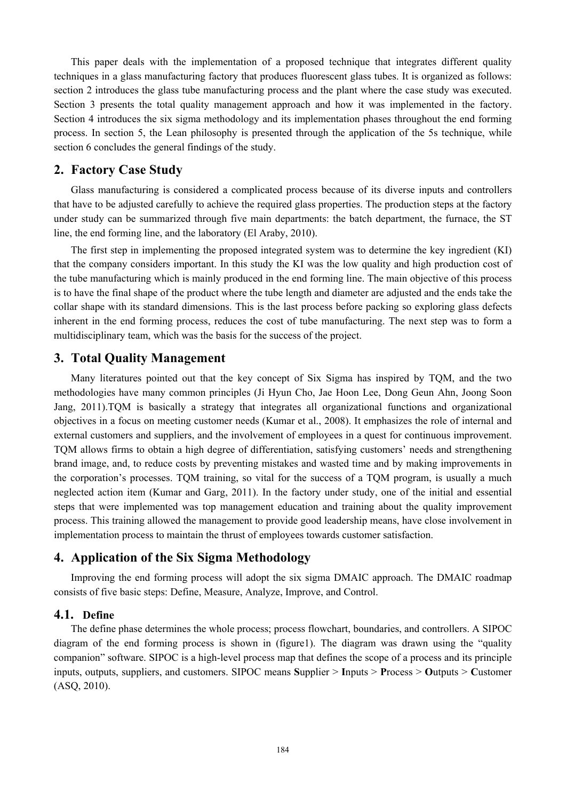This paper deals with the implementation of a proposed technique that integrates different quality techniques in a glass manufacturing factory that produces fluorescent glass tubes. It is organized as follows: section 2 introduces the glass tube manufacturing process and the plant where the case study was executed. Section 3 presents the total quality management approach and how it was implemented in the factory. Section 4 introduces the six sigma methodology and its implementation phases throughout the end forming process. In section 5, the Lean philosophy is presented through the application of the 5s technique, while section 6 concludes the general findings of the study.

## **2. Factory Case Study**

Glass manufacturing is considered a complicated process because of its diverse inputs and controllers that have to be adjusted carefully to achieve the required glass properties. The production steps at the factory under study can be summarized through five main departments: the batch department, the furnace, the ST line, the end forming line, and the laboratory (El Araby, 2010).

The first step in implementing the proposed integrated system was to determine the key ingredient (KI) that the company considers important. In this study the KI was the low quality and high production cost of the tube manufacturing which is mainly produced in the end forming line. The main objective of this process is to have the final shape of the product where the tube length and diameter are adjusted and the ends take the collar shape with its standard dimensions. This is the last process before packing so exploring glass defects inherent in the end forming process, reduces the cost of tube manufacturing. The next step was to form a multidisciplinary team, which was the basis for the success of the project.

# **3. Total Quality Management**

Many literatures pointed out that the key concept of Six Sigma has inspired by TQM, and the two methodologies have many common principles (Ji Hyun Cho, Jae Hoon Lee, Dong Geun Ahn, Joong Soon Jang, 2011).TQM is basically a strategy that integrates all organizational functions and organizational objectives in a focus on meeting customer needs (Kumar et al., 2008). It emphasizes the role of internal and external customers and suppliers, and the involvement of employees in a quest for continuous improvement. TQM allows firms to obtain a high degree of differentiation, satisfying customers' needs and strengthening brand image, and, to reduce costs by preventing mistakes and wasted time and by making improvements in the corporation's processes. TQM training, so vital for the success of a TQM program, is usually a much neglected action item (Kumar and Garg, 2011). In the factory under study, one of the initial and essential steps that were implemented was top management education and training about the quality improvement process. This training allowed the management to provide good leadership means, have close involvement in implementation process to maintain the thrust of employees towards customer satisfaction.

# **4. Application of the Six Sigma Methodology**

Improving the end forming process will adopt the six sigma DMAIC approach. The DMAIC roadmap consists of five basic steps: Define, Measure, Analyze, Improve, and Control.

#### **4.1. Define**

The define phase determines the whole process; process flowchart, boundaries, and controllers. A SIPOC diagram of the end forming process is shown in (figure1). The diagram was drawn using the "quality companion" software. SIPOC is a high-level process map that defines the scope of a process and its principle inputs, outputs, suppliers, and customers. SIPOC means **S**upplier > **I**nputs > **P**rocess > **O**utputs > **C**ustomer (ASQ, 2010).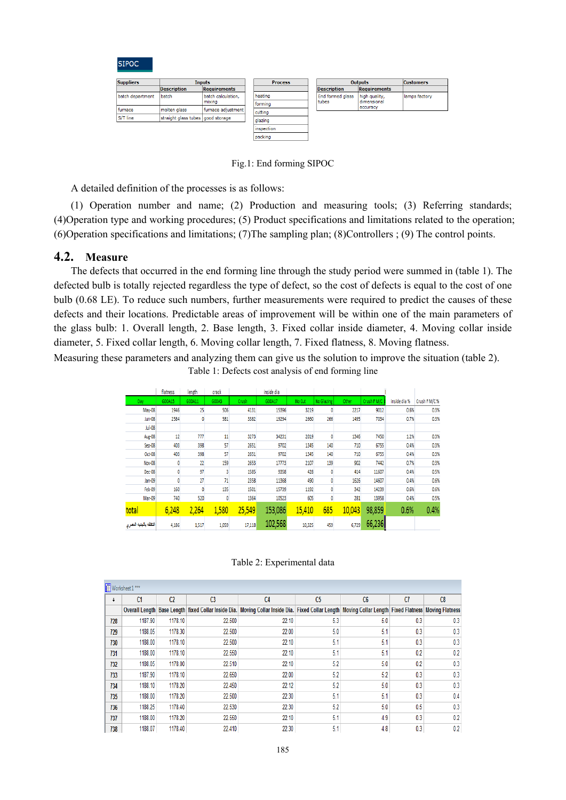**SIPOC** 

| <b>Suppliers</b><br><b>Inputs</b> |                                   | <b>Process</b>               |                                          | <b>Outputs</b> | <b>Customers</b>   |                              |               |
|-----------------------------------|-----------------------------------|------------------------------|------------------------------------------|----------------|--------------------|------------------------------|---------------|
|                                   | <b>Description</b>                | <b>Requirements</b>          |                                          |                | <b>Description</b> | <b>Requirements</b>          |               |
| batch department                  | batch                             | batch calculation,<br>mixing | <b>I</b> heating                         |                | End formed glass   | high quality,<br>dimensional | lamps factory |
|                                   |                                   |                              | <i><u><b>Iformina</b></u></i><br>cutting |                | tubes              |                              |               |
| furnace                           | molten glass                      | furnace adjustment           |                                          |                | accuracy           |                              |               |
| S/T line                          | straight glass tubes good storage |                              | glazing                                  |                |                    |                              |               |
|                                   |                                   |                              | inspection                               |                |                    |                              |               |
|                                   |                                   |                              | packing                                  |                |                    |                              |               |

Fig.1: End forming SIPOC

A detailed definition of the processes is as follows:

(1) Operation number and name; (2) Production and measuring tools; (3) Referring standards; (4)Operation type and working procedures; (5) Product specifications and limitations related to the operation; (6)Operation specifications and limitations; (7)The sampling plan; (8)Controllers ; (9) The control points.

#### **4.2. Measure**

The defects that occurred in the end forming line through the study period were summed in (table 1). The defected bulb is totally rejected regardless the type of defect, so the cost of defects is equal to the cost of one bulb (0.68 LE). To reduce such numbers, further measurements were required to predict the causes of these defects and their locations. Predictable areas of improvement will be within one of the main parameters of the glass bulb: 1. Overall length, 2. Base length, 3. Fixed collar inside diameter, 4. Moving collar inside diameter, 5. Fixed collar length, 6. Moving collar length, 7. Fixed flatness, 8. Moving flatness.

Measuring these parameters and analyzing them can give us the solution to improve the situation (table 2). Table 1: Defects cost analysis of end forming line

|                        | flatness | length | crack |        | inside dia |        |            |        |             |              |               |
|------------------------|----------|--------|-------|--------|------------|--------|------------|--------|-------------|--------------|---------------|
| Day                    | G00A13   | G00A11 | G00A3 | Crush  | G00A17     | No Cut | No Glazing | Other  | Crush F M/C | inside dia % | Crush F M/C % |
| May-08                 | 1946     | 25     | 506   | 4131   | 15396      | 3219   |            | 2217   | 9012        | 0.6%         | 0.3%          |
| Jun-08                 | 2584     | 0      | 581   | 3382   | 19294      | 2660   | 266        | 1495   | 7034        | 0.7%         | 0.3%          |
| Jul-08                 |          |        |       |        |            |        |            |        |             |              |               |
| Aug-08                 | 12       | 777    | 11    | 3273   | 34231      | 2019   |            | 1346   | 7450        | 1.2%         | 0.3%          |
| Sep-08                 | 403      | 398    | 57    | 2651   | 9702       | 1345   | 140        | 710    | 6755        | 0.4%         | 0.3%          |
| Oct-08                 | 403      | 398    | 57    | 2651   | 9702       | 1345   | 140        | 710    | 6755        | 0.4%         | 0.3%          |
| Nov-08                 |          | 22     | 159   | 2653   | 17773      | 2107   | 139        | 902    | 7442        | 0.7%         | 0.3%          |
| Dec-08                 |          | 97     | 3     | 1585   | 9358       | 428    |            | 414    | 11607       | 0.4%         | 0.5%          |
| Jan-09                 |          | 27     | 71    | 2358   | 11368      | 490    |            | 1626   | 14607       | 0.4%         | 0.6%          |
| Feb-09                 | 160      | 0      | 135   | 1501   | 15739      | 1192   |            | 342    | 14239       | 0.6%         | 0.6%          |
| Mar-09                 | 740      | 520    | 0     | 1364   | 10523      | 605    |            | 281    | 13958       | 0.4%         | 0.5%          |
| total                  | 6,248    | 2,264  | 1,580 | 25,549 | 153,086    | 15,410 | 685        | 10,043 | 98,859      | 0.6%         | 0.4%          |
| التكلفه بالجنبه المصرى | 4,186    | 1,517  | 1,059 | 17,118 | 102,568    | 10,325 | 459        | 6,729  | 66,236      |              |               |

Table 2: Experimental data

| Worksheet 1 *** |                |                                  |                                                     |                                                                                                         |                |     |     |     |  |  |
|-----------------|----------------|----------------------------------|-----------------------------------------------------|---------------------------------------------------------------------------------------------------------|----------------|-----|-----|-----|--|--|
| ŧ               | C <sub>1</sub> | C <sub>2</sub><br>C <sub>3</sub> |                                                     | C <sub>4</sub>                                                                                          | C <sub>5</sub> | C6  | C7  | C8  |  |  |
|                 |                |                                  | Overall Length Base Length fixed Collar Inside Dia. | Moving Collar Inside Dia. Fixed Collar Length   Moving Collar Length   Fixed Flatness   Moving Flatness |                |     |     |     |  |  |
| 728             | 1187.90        | 1178.10                          | 22.500                                              | 22.10                                                                                                   | 5.3            | 5.0 | 0.3 | 0.3 |  |  |
| 729             | 1188.05        | 1178.30                          | 22.500                                              | 22.00                                                                                                   | 5.0            | 5.1 | 0.3 | 0.3 |  |  |
| 730             | 1188.00        | 1178.10                          | 22.500                                              | 22.10                                                                                                   | 5.1            | 5.1 | 0.3 | 0.3 |  |  |
| 731             | 1188.00        | 1178.10                          | 22.550                                              | 22.10                                                                                                   | 5.1            | 5.1 | 0.2 | 0.2 |  |  |
| 732             | 1188.05        | 1178.00                          | 22.510                                              | 22.10                                                                                                   | 5.2            | 5.0 | 0.2 | 0.3 |  |  |
| 733             | 1187.90        | 1178.10                          | 22.650                                              | 22.00                                                                                                   | 5.2            | 5.2 | 0.3 | 0.3 |  |  |
| 734             | 1188.10        | 1178.20                          | 22.450                                              | 22.12                                                                                                   | 5.2            | 5.0 | 0.3 | 0.3 |  |  |
| 735             | 1188.00        | 1178.20                          | 22.500                                              | 22.30                                                                                                   | 5.1            | 5.1 | 0.3 | 0.4 |  |  |
| 736             | 1188.25        | 1178.40                          | 22.530                                              | 22.30                                                                                                   | 5.2            | 5.0 | 0.5 | 0.3 |  |  |
| 737             | 1188.00        | 1178.20                          | 22.550                                              | 22.10                                                                                                   | 5.1            | 4.9 | 0.3 | 0.2 |  |  |
| 738             | 1188.07        | 1178.40                          | 22.410                                              | 22.30                                                                                                   | 5.1            | 4.8 | 0.3 | 0.2 |  |  |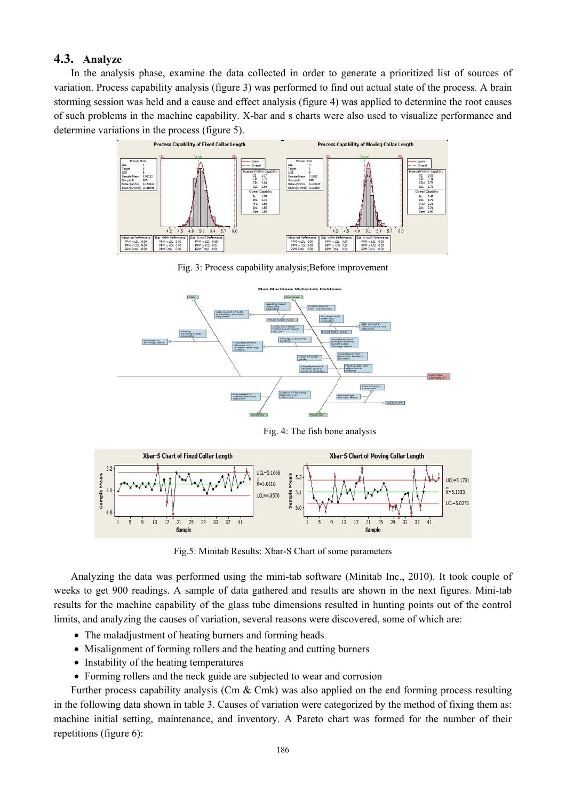# **4.3. Analyze**

In the analysis phase, examine the data collected in order to generate a prioritized list of sources of variation. Process capability analysis (figure 3) was performed to find out actual state of the process. A brain storming session was held and a cause and effect analysis (figure 4) was applied to determine the root causes of such problems in the machine capability. X-bar and s charts were also used to visualize performance and determine variations in the process (figure 5).



Fig. 3: Process capability analysis; Before improvement



Fig. 4: The fish bone analysis



Fig.5: Minitab Results: Xbar-S Chart of some parameters

Analyzing the data was performed using the mini-tab software (Minitab Inc., 2010). It took couple of weeks to get 900 readings. A sample of data gathered and results are shown in the next figures. Mini-tab results for the machine capability of the glass tube dimensions resulted in hunting points out of the control limits, and analyzing the causes of variation, several reasons were discovered, some of which are:

- The maladjustment of heating burners and forming heads
- Misalignment of forming rollers and the heating and cutting burners
- Instability of the heating temperatures
- Forming rollers and the neck guide are subjected to wear and corrosion

Further process capability analysis (Cm & Cmk) was also applied on the end forming process resulting in the following data shown in table 3. Causes of variation were categorized by the method of fixing them as: machine initial setting, maintenance, and inventory. A Pareto chart was formed for the number of their repetitions (figure 6):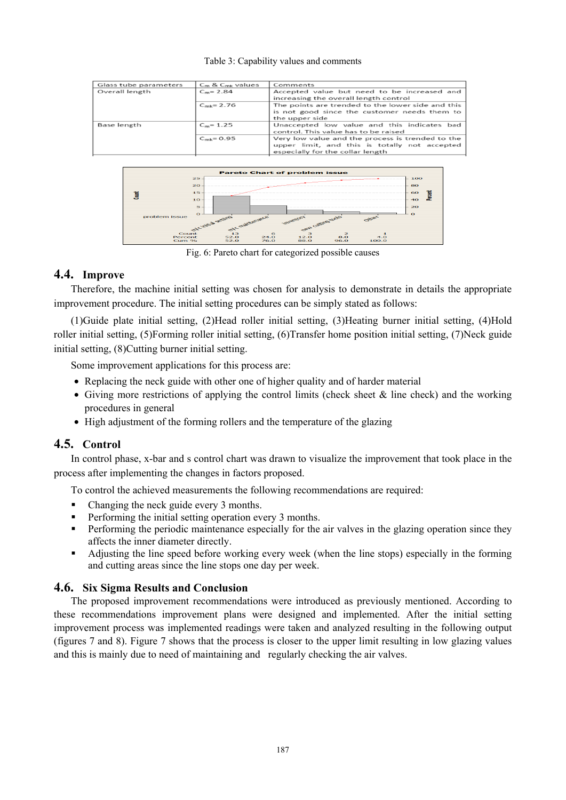#### Table 3: Capability values and comments



Fig. 6: Pareto chart for categorized possible causes

# **4.4. Improve**

Therefore, the machine initial setting was chosen for analysis to demonstrate in details the appropriate improvement procedure. The initial setting procedures can be simply stated as follows:

(1)Guide plate initial setting, (2)Head roller initial setting, (3)Heating burner initial setting, (4)Hold roller initial setting, (5)Forming roller initial setting, (6)Transfer home position initial setting, (7)Neck guide initial setting, (8)Cutting burner initial setting.

Some improvement applications for this process are:

- Replacing the neck guide with other one of higher quality and of harder material
- Giving more restrictions of applying the control limits (check sheet  $\&$  line check) and the working procedures in general
- High adjustment of the forming rollers and the temperature of the glazing

# **4.5. Control**

In control phase, x-bar and s control chart was drawn to visualize the improvement that took place in the process after implementing the changes in factors proposed.

To control the achieved measurements the following recommendations are required:

- Changing the neck guide every 3 months.
- **Performing the initial setting operation every 3 months.**
- **Performing the periodic maintenance especially for the air valves in the glazing operation since they** affects the inner diameter directly.
- Adjusting the line speed before working every week (when the line stops) especially in the forming and cutting areas since the line stops one day per week.

# **4.6. Six Sigma Results and Conclusion**

The proposed improvement recommendations were introduced as previously mentioned. According to these recommendations improvement plans were designed and implemented. After the initial setting improvement process was implemented readings were taken and analyzed resulting in the following output (figures 7 and 8). Figure 7 shows that the process is closer to the upper limit resulting in low glazing values and this is mainly due to need of maintaining and regularly checking the air valves.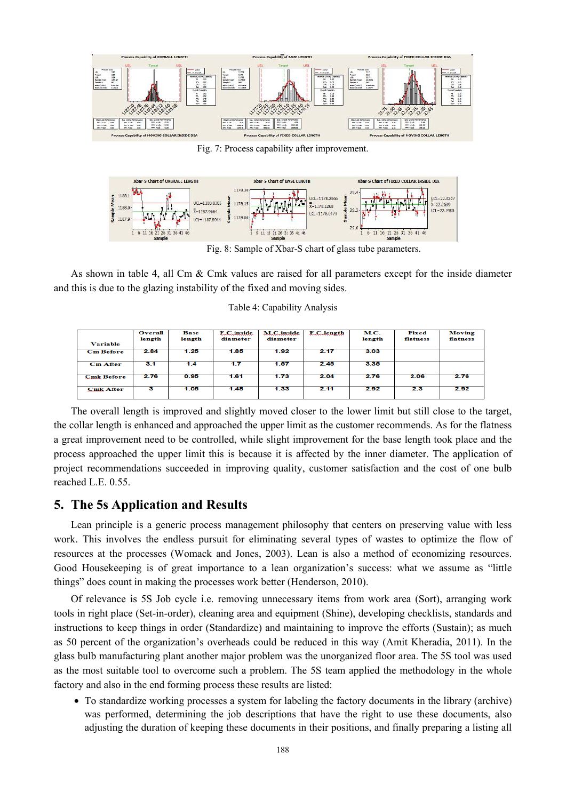

Fig. 7: Process capability after improvement.



Fig. 8: Sample of Xbar-S chart of glass tube parameters.

As shown in table 4, all Cm & Cmk values are raised for all parameters except for the inside diameter and this is due to the glazing instability of the fixed and moving sides.

|                   | <b>Overall</b><br>length | <b>Base</b><br>length | <b>F.C.inside</b><br>diameter | <b>M.C.inside</b><br>diameter | <b>F.C.length</b> | <b>M.C.</b><br>length | Fixed<br>flatness | <b>Moving</b><br>flatness |
|-------------------|--------------------------|-----------------------|-------------------------------|-------------------------------|-------------------|-----------------------|-------------------|---------------------------|
| <b>Variable</b>   |                          |                       |                               |                               |                   |                       |                   |                           |
| <b>Cm Before</b>  | 2.84                     | 1.25                  | 1.85                          | 1.92                          | 2.17              | 3.03                  |                   |                           |
| <b>Cm After</b>   | 3.1                      | 1.4                   | 1.7                           | 1.57                          | 2.45              | 3.35                  |                   |                           |
| <b>Cmk Before</b> | 2.76                     | 0.95                  | 1.61                          | 1.73                          | 2.04              | 2.76                  | 2.06              | 2.76                      |
| <b>Cmk After</b>  | з                        | 1.05                  | 1.48                          | 1.33                          | 2.11              | 2.92                  | 2.3               | 2.92                      |

The overall length is improved and slightly moved closer to the lower limit but still close to the target, the collar length is enhanced and approached the upper limit as the customer recommends. As for the flatness a great improvement need to be controlled, while slight improvement for the base length took place and the process approached the upper limit this is because it is affected by the inner diameter. The application of project recommendations succeeded in improving quality, customer satisfaction and the cost of one bulb reached L.E. 0.55.

# **5. The 5s Application and Results**

Lean principle is a generic process management philosophy that centers on preserving value with less work. This involves the endless pursuit for eliminating several types of wastes to optimize the flow of resources at the processes (Womack and Jones, 2003). Lean is also a method of economizing resources. Good Housekeeping is of great importance to a lean organization's success: what we assume as "little things" does count in making the processes work better (Henderson, 2010).

Of relevance is 5S Job cycle i.e. removing unnecessary items from work area (Sort), arranging work tools in right place (Set-in-order), cleaning area and equipment (Shine), developing checklists, standards and instructions to keep things in order (Standardize) and maintaining to improve the efforts (Sustain); as much as 50 percent of the organization's overheads could be reduced in this way (Amit Kheradia, 2011). In the glass bulb manufacturing plant another major problem was the unorganized floor area. The 5S tool was used as the most suitable tool to overcome such a problem. The 5S team applied the methodology in the whole factory and also in the end forming process these results are listed:

• To standardize working processes a system for labeling the factory documents in the library (archive) was performed, determining the job descriptions that have the right to use these documents, also adjusting the duration of keeping these documents in their positions, and finally preparing a listing all